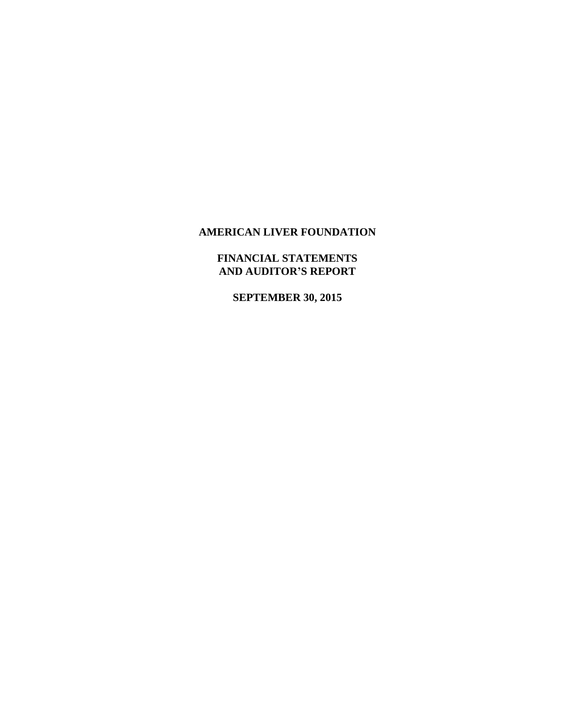# **FINANCIAL STATEMENTS AND AUDITOR'S REPORT**

**SEPTEMBER 30, 2015**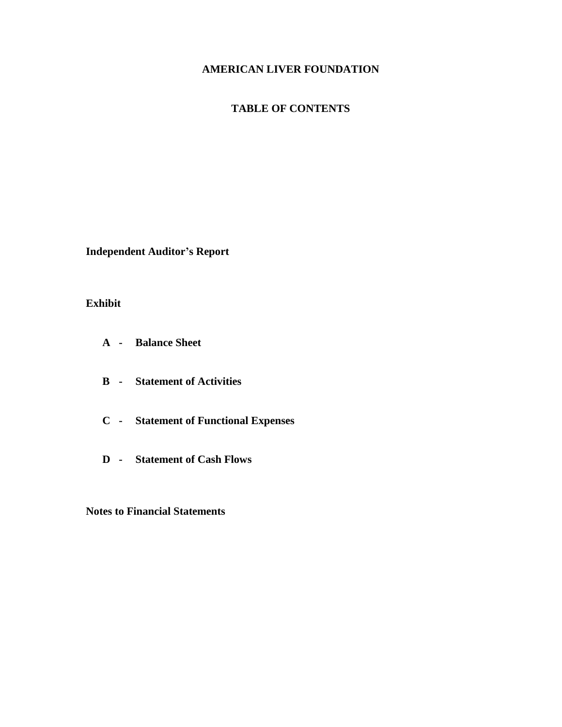# **TABLE OF CONTENTS**

**Independent Auditor's Report**

# **Exhibit**

- **A - Balance Sheet**
- **B - Statement of Activities**
- **C - Statement of Functional Expenses**
- **D - Statement of Cash Flows**

**Notes to Financial Statements**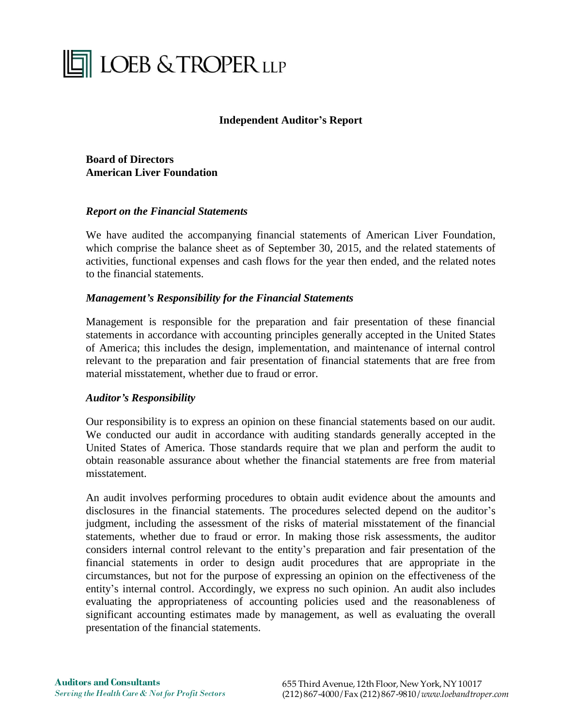# **THE LOEB & TROPER LLP**

# **Independent Auditor's Report**

**Board of Directors American Liver Foundation**

## *Report on the Financial Statements*

We have audited the accompanying financial statements of American Liver Foundation, which comprise the balance sheet as of September 30, 2015, and the related statements of activities, functional expenses and cash flows for the year then ended, and the related notes to the financial statements.

# *Management's Responsibility for the Financial Statements*

Management is responsible for the preparation and fair presentation of these financial statements in accordance with accounting principles generally accepted in the United States of America; this includes the design, implementation, and maintenance of internal control relevant to the preparation and fair presentation of financial statements that are free from material misstatement, whether due to fraud or error.

## *Auditor's Responsibility*

Our responsibility is to express an opinion on these financial statements based on our audit. We conducted our audit in accordance with auditing standards generally accepted in the United States of America. Those standards require that we plan and perform the audit to obtain reasonable assurance about whether the financial statements are free from material misstatement.

An audit involves performing procedures to obtain audit evidence about the amounts and disclosures in the financial statements. The procedures selected depend on the auditor's judgment, including the assessment of the risks of material misstatement of the financial statements, whether due to fraud or error. In making those risk assessments, the auditor considers internal control relevant to the entity's preparation and fair presentation of the financial statements in order to design audit procedures that are appropriate in the circumstances, but not for the purpose of expressing an opinion on the effectiveness of the entity's internal control. Accordingly, we express no such opinion. An audit also includes evaluating the appropriateness of accounting policies used and the reasonableness of significant accounting estimates made by management, as well as evaluating the overall presentation of the financial statements.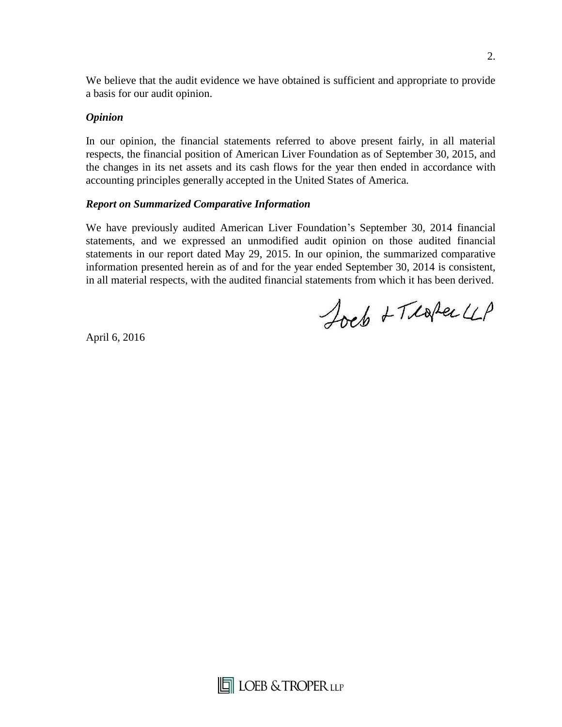We believe that the audit evidence we have obtained is sufficient and appropriate to provide a basis for our audit opinion.

# *Opinion*

In our opinion, the financial statements referred to above present fairly, in all material respects, the financial position of American Liver Foundation as of September 30, 2015, and the changes in its net assets and its cash flows for the year then ended in accordance with accounting principles generally accepted in the United States of America.

# *Report on Summarized Comparative Information*

We have previously audited American Liver Foundation's September 30, 2014 financial statements, and we expressed an unmodified audit opinion on those audited financial statements in our report dated May 29, 2015. In our opinion, the summarized comparative information presented herein as of and for the year ended September 30, 2014 is consistent, in all material respects, with the audited financial statements from which it has been derived.

Joeb + Teaper LLP

April 6, 2016

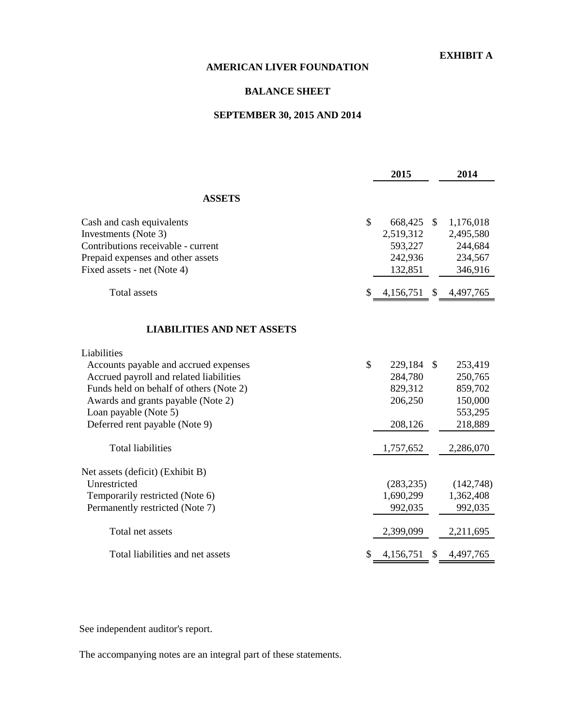## **EXHIBIT A**

# **AMERICAN LIVER FOUNDATION**

## **BALANCE SHEET**

# **SEPTEMBER 30, 2015 AND 2014**

|                                         |    | 2015         | 2014            |
|-----------------------------------------|----|--------------|-----------------|
| <b>ASSETS</b>                           |    |              |                 |
| Cash and cash equivalents               | \$ | 668,425 \$   | 1,176,018       |
| Investments (Note 3)                    |    | 2,519,312    | 2,495,580       |
| Contributions receivable - current      |    | 593,227      | 244,684         |
| Prepaid expenses and other assets       |    | 242,936      | 234,567         |
| Fixed assets - net (Note 4)             |    | 132,851      | 346,916         |
| <b>Total</b> assets                     | S  | 4,156,751 \$ | 4,497,765       |
| <b>LIABILITIES AND NET ASSETS</b>       |    |              |                 |
| Liabilities                             |    |              |                 |
| Accounts payable and accrued expenses   | \$ | 229,184      | \$<br>253,419   |
| Accrued payroll and related liabilities |    | 284,780      | 250,765         |
| Funds held on behalf of others (Note 2) |    | 829,312      | 859,702         |
| Awards and grants payable (Note 2)      |    | 206,250      | 150,000         |
| Loan payable (Note 5)                   |    |              | 553,295         |
| Deferred rent payable (Note 9)          |    | 208,126      | 218,889         |
| <b>Total liabilities</b>                |    | 1,757,652    | 2,286,070       |
| Net assets (deficit) (Exhibit B)        |    |              |                 |
| Unrestricted                            |    | (283, 235)   | (142,748)       |
| Temporarily restricted (Note 6)         |    | 1,690,299    | 1,362,408       |
| Permanently restricted (Note 7)         |    | 992,035      | 992,035         |
| Total net assets                        |    | 2,399,099    | 2,211,695       |
| Total liabilities and net assets        |    | 4,156,751    | \$<br>4,497,765 |

See independent auditor's report.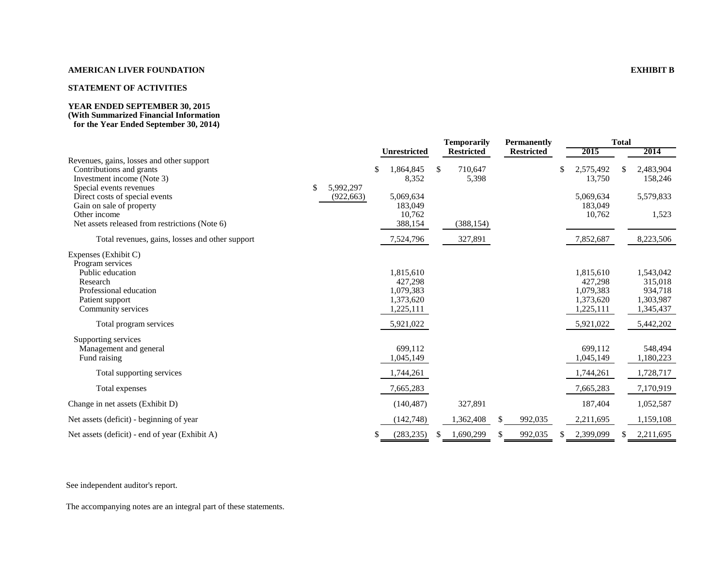#### **AMERICAN LIVER FOUNDATION EXHIBIT B**

#### **STATEMENT OF ACTIVITIES**

#### **YEAR ENDED SEPTEMBER 30, 2015 (With Summarized Financial Information for the Year Ended September 30, 2014)**

|                                                                                                     |                 |   |                      |    | <b>Temporarily</b> |     | <b>Permanently</b> |                           | <b>Total</b> |                      |
|-----------------------------------------------------------------------------------------------------|-----------------|---|----------------------|----|--------------------|-----|--------------------|---------------------------|--------------|----------------------|
|                                                                                                     |                 |   | Unrestricted         |    | <b>Restricted</b>  |     | <b>Restricted</b>  | 2015                      |              | 2014                 |
| Revenues, gains, losses and other support<br>Contributions and grants<br>Investment income (Note 3) | \$<br>5,992,297 |   | 1,864,845<br>8,352   | \$ | 710,647<br>5,398   |     |                    | \$<br>2,575,492<br>13,750 | S            | 2,483,904<br>158,246 |
| Special events revenues<br>Direct costs of special events<br>Gain on sale of property               | (922, 663)      |   | 5,069,634<br>183,049 |    |                    |     |                    | 5,069,634<br>183,049      |              | 5,579,833            |
| Other income<br>Net assets released from restrictions (Note 6)                                      |                 |   | 10,762<br>388,154    |    | (388, 154)         |     |                    | 10,762                    |              | 1,523                |
| Total revenues, gains, losses and other support                                                     |                 |   | 7,524,796            |    | 327,891            |     |                    | 7,852,687                 |              | 8,223,506            |
| Expenses (Exhibit C)<br>Program services                                                            |                 |   |                      |    |                    |     |                    |                           |              |                      |
| Public education                                                                                    |                 |   | 1,815,610            |    |                    |     |                    | 1,815,610                 |              | 1,543,042            |
| Research                                                                                            |                 |   | 427.298              |    |                    |     |                    | 427,298                   |              | 315,018              |
| Professional education                                                                              |                 |   | 1,079,383            |    |                    |     |                    | 1,079,383                 |              | 934,718              |
| Patient support                                                                                     |                 |   | 1,373,620            |    |                    |     |                    | 1,373,620                 |              | 1,303,987            |
| Community services                                                                                  |                 |   | 1,225,111            |    |                    |     |                    | 1,225,111                 |              | 1,345,437            |
| Total program services                                                                              |                 |   | 5,921,022            |    |                    |     |                    | 5,921,022                 |              | 5,442,202            |
| Supporting services                                                                                 |                 |   |                      |    |                    |     |                    |                           |              |                      |
| Management and general                                                                              |                 |   | 699.112              |    |                    |     |                    | 699.112                   |              | 548.494              |
| Fund raising                                                                                        |                 |   | 1,045,149            |    |                    |     |                    | 1,045,149                 |              | 1,180,223            |
| Total supporting services                                                                           |                 |   | 1,744,261            |    |                    |     |                    | 1,744,261                 |              | 1,728,717            |
| Total expenses                                                                                      |                 |   | 7,665,283            |    |                    |     |                    | 7,665,283                 |              | 7,170,919            |
| Change in net assets (Exhibit D)                                                                    |                 |   | (140, 487)           |    | 327,891            |     |                    | 187,404                   |              | 1,052,587            |
| Net assets (deficit) - beginning of year                                                            |                 |   | (142,748)            |    | 1,362,408          | \$. | 992,035            | 2,211,695                 |              | 1,159,108            |
| Net assets (deficit) - end of year (Exhibit A)                                                      |                 | S | (283, 235)           | S  | 1,690,299          | \$  | 992,035            | 2,399,099                 |              | 2,211,695            |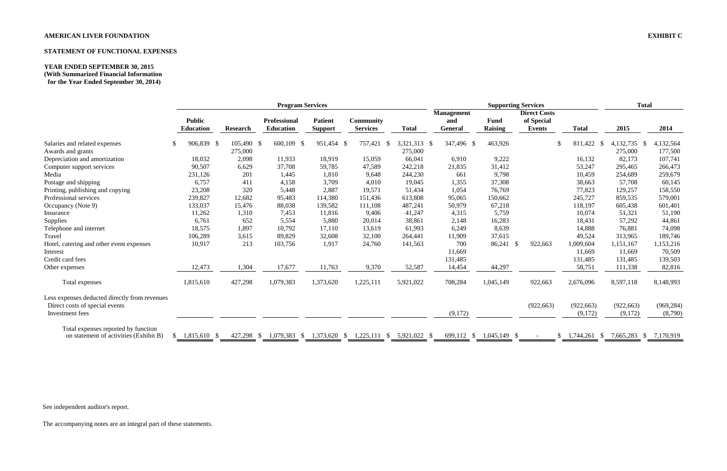# **AMERICAN LIVER FOUNDATION EXHIBIT C**

# **STATEMENT OF FUNCTIONAL EXPENSES**

# **YEAR ENDED SEPTEMBER 30, 2015 (With Summarized Financial Information**

**for the Year Ended September 30, 2014)**

|                                                                                 |                                   |                 | <b>Program Services</b>                 |                                  |                                     |              |                                            |                               | <b>Supporting Services</b>                         |                        |            | <b>Total</b>      |
|---------------------------------------------------------------------------------|-----------------------------------|-----------------|-----------------------------------------|----------------------------------|-------------------------------------|--------------|--------------------------------------------|-------------------------------|----------------------------------------------------|------------------------|------------|-------------------|
|                                                                                 | <b>Public</b><br><b>Education</b> | <b>Research</b> | <b>Professional</b><br><b>Education</b> | <b>Patient</b><br><b>Support</b> | <b>Community</b><br><b>Services</b> | <b>Total</b> | <b>Management</b><br>and<br><b>General</b> | <b>Fund</b><br><b>Raising</b> | <b>Direct Costs</b><br>of Special<br><b>Events</b> | <b>Total</b>           | 2015       | 2014              |
| Salaries and related expenses                                                   | 906,839 \$<br>\$.                 | 105,490 \$      | 600,109<br>-S                           | 951,454 \$                       | 757,421<br>- \$                     | 3,321,313 \$ | 347,496 \$                                 | 463,926                       |                                                    | 811,422 \$<br>\$.      | 4,132,735  | 4,132,564<br>- \$ |
| Awards and grants                                                               |                                   | 275,000         |                                         |                                  |                                     | 275,000      |                                            |                               |                                                    |                        | 275,000    | 177,500           |
| Depreciation and amortization                                                   | 18,032                            | 2,098           | 11,933                                  | 18,919                           | 15,059                              | 66,041       | 6,910                                      | 9,222                         |                                                    | 16,132                 | 82,173     | 107,741           |
| Computer support services                                                       | 90,507                            | 6,629           | 37,708                                  | 59,785                           | 47,589                              | 242,218      | 21,835                                     | 31,412                        |                                                    | 53,247                 | 295,465    | 266,473           |
| Media                                                                           | 231,126                           | 201             | 1,445                                   | 1,810                            | 9,648                               | 244,230      | 661                                        | 9,798                         |                                                    | 10,459                 | 254,689    | 259,679           |
| Postage and shipping                                                            | 6,757                             | 411             | 4,158                                   | 3,709                            | 4,010                               | 19,045       | 1,355                                      | 37,308                        |                                                    | 38,663                 | 57,708     | 60,145            |
| Printing, publishing and copying                                                | 23,208                            | 320             | 5,448                                   | 2,887                            | 19,571                              | 51,434       | 1,054                                      | 76,769                        |                                                    | 77,823                 | 129,257    | 158,550           |
| Professional services                                                           | 239,827                           | 12,682          | 95,483                                  | 114,380                          | 151,436                             | 613,808      | 95,065                                     | 150,662                       |                                                    | 245,727                | 859,535    | 579,001           |
| Occupancy (Note 9)                                                              | 133,037                           | 15,476          | 88,038                                  | 139,582                          | 111,108                             | 487,241      | 50,979                                     | 67,218                        |                                                    | 118,197                | 605,438    | 601,401           |
| Insurance                                                                       | 11,262                            | 1,310           | 7,453                                   | 11,816                           | 9,406                               | 41,247       | 4,315                                      | 5,759                         |                                                    | 10,074                 | 51,321     | 51,190            |
| Supplies                                                                        | 6,761                             | 652             | 5,554                                   | 5,880                            | 20,014                              | 38,861       | 2,148                                      | 16,283                        |                                                    | 18,431                 | 57,292     | 44,861            |
| Telephone and internet                                                          | 18,575                            | 1,897           | 10,792                                  | 17,110                           | 13,619                              | 61,993       | 6,249                                      | 8,639                         |                                                    | 14,888                 | 76,881     | 74,098            |
| Travel                                                                          | 106,289                           | 3,615           | 89,829                                  | 32,608                           | 32,100                              | 264,441      | 11,909                                     | 37,615                        |                                                    | 49,524                 | 313,965    | 189,746           |
| Hotel, catering and other event expenses                                        | 10,917                            | 213             | 103,756                                 | 1,917                            | 24,760                              | 141,563      | 700                                        | 86,241                        | 922,663<br>- \$                                    | 1,009,604              | 1,151,167  | 1,153,216         |
| Interest                                                                        |                                   |                 |                                         |                                  |                                     |              | 11,669                                     |                               |                                                    | 11,669                 | 11,669     | 70,509            |
| Credit card fees                                                                |                                   |                 |                                         |                                  |                                     |              | 131,485                                    |                               |                                                    | 131,485                | 131,485    | 139,503           |
| Other expenses                                                                  | 12,473                            | 1,304           | 17,677                                  | 11,763                           | 9,370                               | 52,587       | 14,454                                     | 44,297                        |                                                    | 58,751                 | 111,338    | 82,816            |
| Total expenses                                                                  | 1,815,610                         | 427,298         | 1,079,383                               | 1,373,620                        | 1,225,111                           | 5,921,022    | 708,284                                    | 1,045,149                     | 922,663                                            | 2,676,096              | 8,597,118  | 8,148,993         |
| Less expenses deducted directly from revenues<br>Direct costs of special events |                                   |                 |                                         |                                  |                                     |              |                                            |                               | (922, 663)                                         | (922, 663)             | (922, 663) | (969, 284)        |
| Investment fees                                                                 |                                   |                 |                                         |                                  |                                     |              | (9,172)                                    |                               |                                                    | (9,172)                | (9,172)    | (8,790)           |
| Total expenses reported by function                                             |                                   |                 |                                         |                                  |                                     |              |                                            |                               |                                                    |                        |            |                   |
| on statement of activities (Exhibit B)                                          | 1,815,610 \$<br><sup>S</sup>      | 427,298         | 1,079,383<br>- \$<br>-S                 | 1,373,620                        | 1,225,111<br>-S<br>- S              | 5,921,022 \$ | 699,112 \$                                 | $1,045,149$ \$                |                                                    | 1,744,261<br>S.<br>- S | 7,665,283  | 7,170,919<br>-S   |

See independent auditor's report.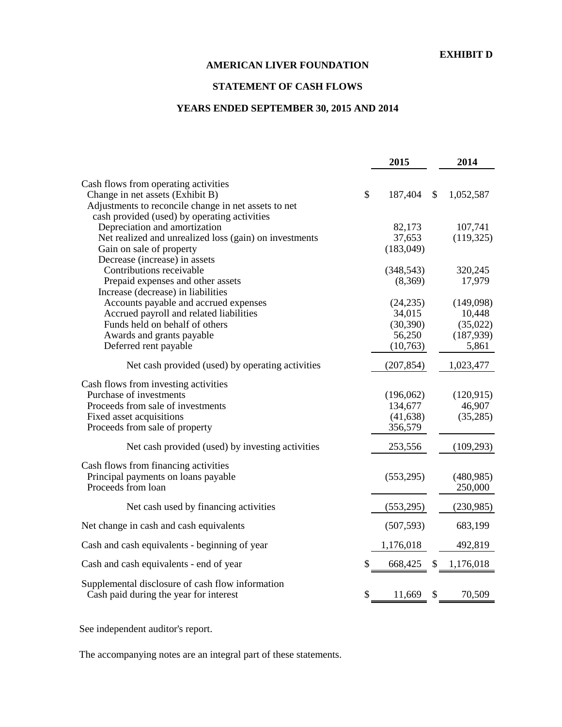# **STATEMENT OF CASH FLOWS**

# **YEARS ENDED SEPTEMBER 30, 2015 AND 2014**

|                                                                                            |              | 2015       |               | 2014       |
|--------------------------------------------------------------------------------------------|--------------|------------|---------------|------------|
| Cash flows from operating activities                                                       |              |            |               |            |
| Change in net assets (Exhibit B)                                                           | $\mathbb{S}$ | 187,404    | $\mathcal{S}$ | 1,052,587  |
| Adjustments to reconcile change in net assets to net                                       |              |            |               |            |
| cash provided (used) by operating activities                                               |              |            |               |            |
| Depreciation and amortization                                                              |              | 82,173     |               | 107,741    |
| Net realized and unrealized loss (gain) on investments                                     |              | 37,653     |               | (119, 325) |
| Gain on sale of property                                                                   |              | (183, 049) |               |            |
| Decrease (increase) in assets                                                              |              |            |               |            |
| Contributions receivable                                                                   |              | (348, 543) |               | 320,245    |
| Prepaid expenses and other assets                                                          |              | (8,369)    |               | 17,979     |
| Increase (decrease) in liabilities                                                         |              |            |               |            |
| Accounts payable and accrued expenses                                                      |              | (24, 235)  |               | (149,098)  |
| Accrued payroll and related liabilities                                                    |              | 34,015     |               | 10,448     |
| Funds held on behalf of others                                                             |              | (30, 390)  |               | (35,022)   |
| Awards and grants payable                                                                  |              | 56,250     |               | (187,939)  |
| Deferred rent payable                                                                      |              | (10,763)   |               | 5,861      |
|                                                                                            |              |            |               |            |
| Net cash provided (used) by operating activities                                           |              | (207, 854) |               | 1,023,477  |
| Cash flows from investing activities                                                       |              |            |               |            |
| Purchase of investments                                                                    |              | (196,062)  |               | (120, 915) |
| Proceeds from sale of investments                                                          |              | 134,677    |               | 46,907     |
| Fixed asset acquisitions                                                                   |              | (41, 638)  |               | (35,285)   |
| Proceeds from sale of property                                                             |              | 356,579    |               |            |
|                                                                                            |              |            |               |            |
| Net cash provided (used) by investing activities                                           |              | 253,556    |               | (109, 293) |
| Cash flows from financing activities                                                       |              |            |               |            |
| Principal payments on loans payable                                                        |              | (553, 295) |               | (480, 985) |
| Proceeds from loan                                                                         |              |            |               | 250,000    |
| Net cash used by financing activities                                                      |              | (553,295)  |               | (230,985)  |
|                                                                                            |              |            |               |            |
| Net change in cash and cash equivalents                                                    |              | (507, 593) |               | 683,199    |
| Cash and cash equivalents - beginning of year                                              |              | 1,176,018  |               | 492,819    |
| Cash and cash equivalents - end of year                                                    | \$           | 668,425    | \$            | 1,176,018  |
|                                                                                            |              |            |               |            |
| Supplemental disclosure of cash flow information<br>Cash paid during the year for interest | \$           | 11,669     | \$            | 70,509     |

See independent auditor's report.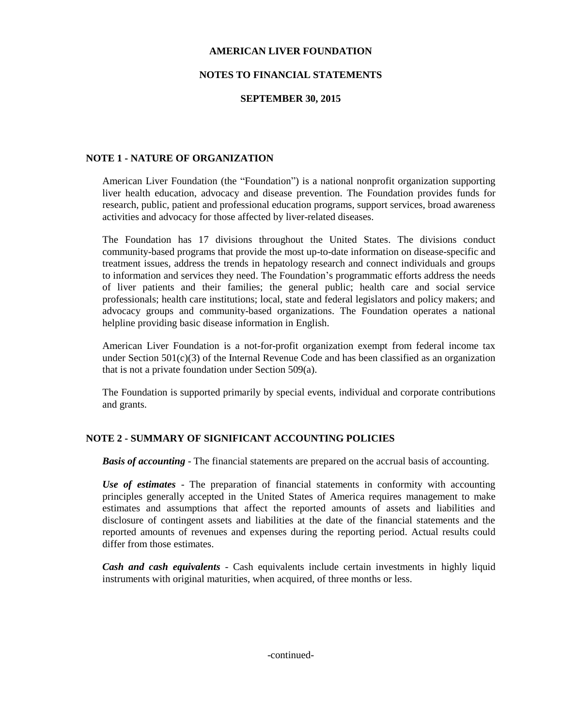## **NOTES TO FINANCIAL STATEMENTS**

## **SEPTEMBER 30, 2015**

## **NOTE 1 - NATURE OF ORGANIZATION**

American Liver Foundation (the "Foundation") is a national nonprofit organization supporting liver health education, advocacy and disease prevention. The Foundation provides funds for research, public, patient and professional education programs, support services, broad awareness activities and advocacy for those affected by liver-related diseases.

The Foundation has 17 divisions throughout the United States. The divisions conduct community-based programs that provide the most up-to-date information on disease-specific and treatment issues, address the trends in hepatology research and connect individuals and groups to information and services they need. The Foundation's programmatic efforts address the needs of liver patients and their families; the general public; health care and social service professionals; health care institutions; local, state and federal legislators and policy makers; and advocacy groups and community-based organizations. The Foundation operates a national helpline providing basic disease information in English.

American Liver Foundation is a not-for-profit organization exempt from federal income tax under Section  $501(c)(3)$  of the Internal Revenue Code and has been classified as an organization that is not a private foundation under Section 509(a).

The Foundation is supported primarily by special events, individual and corporate contributions and grants.

## **NOTE 2 - SUMMARY OF SIGNIFICANT ACCOUNTING POLICIES**

*Basis of accounting* - The financial statements are prepared on the accrual basis of accounting.

*Use of estimates* - The preparation of financial statements in conformity with accounting principles generally accepted in the United States of America requires management to make estimates and assumptions that affect the reported amounts of assets and liabilities and disclosure of contingent assets and liabilities at the date of the financial statements and the reported amounts of revenues and expenses during the reporting period. Actual results could differ from those estimates.

*Cash and cash equivalents* - Cash equivalents include certain investments in highly liquid instruments with original maturities, when acquired, of three months or less.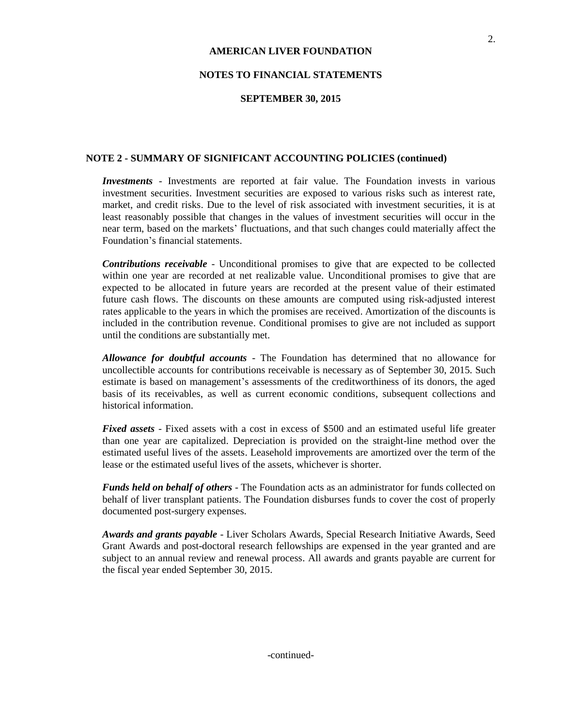## **NOTES TO FINANCIAL STATEMENTS**

### **SEPTEMBER 30, 2015**

### **NOTE 2 - SUMMARY OF SIGNIFICANT ACCOUNTING POLICIES (continued)**

*Investments* - Investments are reported at fair value. The Foundation invests in various investment securities. Investment securities are exposed to various risks such as interest rate, market, and credit risks. Due to the level of risk associated with investment securities, it is at least reasonably possible that changes in the values of investment securities will occur in the near term, based on the markets' fluctuations, and that such changes could materially affect the Foundation's financial statements.

*Contributions receivable* - Unconditional promises to give that are expected to be collected within one year are recorded at net realizable value. Unconditional promises to give that are expected to be allocated in future years are recorded at the present value of their estimated future cash flows. The discounts on these amounts are computed using risk-adjusted interest rates applicable to the years in which the promises are received. Amortization of the discounts is included in the contribution revenue. Conditional promises to give are not included as support until the conditions are substantially met.

*Allowance for doubtful accounts* - The Foundation has determined that no allowance for uncollectible accounts for contributions receivable is necessary as of September 30, 2015. Such estimate is based on management's assessments of the creditworthiness of its donors, the aged basis of its receivables, as well as current economic conditions, subsequent collections and historical information.

*Fixed assets* - Fixed assets with a cost in excess of \$500 and an estimated useful life greater than one year are capitalized. Depreciation is provided on the straight-line method over the estimated useful lives of the assets. Leasehold improvements are amortized over the term of the lease or the estimated useful lives of the assets, whichever is shorter.

*Funds held on behalf of others* - The Foundation acts as an administrator for funds collected on behalf of liver transplant patients. The Foundation disburses funds to cover the cost of properly documented post-surgery expenses.

*Awards and grants payable* - Liver Scholars Awards, Special Research Initiative Awards, Seed Grant Awards and post-doctoral research fellowships are expensed in the year granted and are subject to an annual review and renewal process. All awards and grants payable are current for the fiscal year ended September 30, 2015.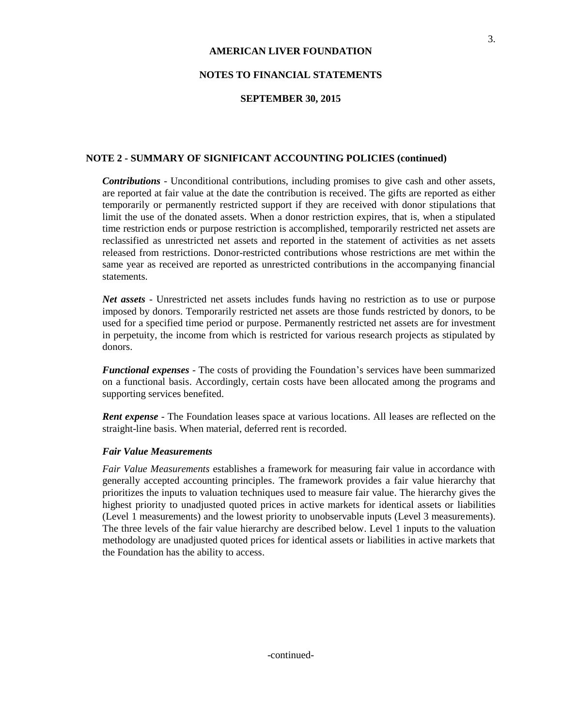## **NOTES TO FINANCIAL STATEMENTS**

### **SEPTEMBER 30, 2015**

### **NOTE 2 - SUMMARY OF SIGNIFICANT ACCOUNTING POLICIES (continued)**

*Contributions* - Unconditional contributions, including promises to give cash and other assets, are reported at fair value at the date the contribution is received. The gifts are reported as either temporarily or permanently restricted support if they are received with donor stipulations that limit the use of the donated assets. When a donor restriction expires, that is, when a stipulated time restriction ends or purpose restriction is accomplished, temporarily restricted net assets are reclassified as unrestricted net assets and reported in the statement of activities as net assets released from restrictions. Donor-restricted contributions whose restrictions are met within the same year as received are reported as unrestricted contributions in the accompanying financial statements.

*Net assets* - Unrestricted net assets includes funds having no restriction as to use or purpose imposed by donors. Temporarily restricted net assets are those funds restricted by donors, to be used for a specified time period or purpose. Permanently restricted net assets are for investment in perpetuity, the income from which is restricted for various research projects as stipulated by donors.

*Functional expenses* - The costs of providing the Foundation's services have been summarized on a functional basis. Accordingly, certain costs have been allocated among the programs and supporting services benefited.

*Rent expense* - The Foundation leases space at various locations. All leases are reflected on the straight-line basis. When material, deferred rent is recorded.

#### *Fair Value Measurements*

*Fair Value Measurements* establishes a framework for measuring fair value in accordance with generally accepted accounting principles. The framework provides a fair value hierarchy that prioritizes the inputs to valuation techniques used to measure fair value. The hierarchy gives the highest priority to unadjusted quoted prices in active markets for identical assets or liabilities (Level 1 measurements) and the lowest priority to unobservable inputs (Level 3 measurements). The three levels of the fair value hierarchy are described below. Level 1 inputs to the valuation methodology are unadjusted quoted prices for identical assets or liabilities in active markets that the Foundation has the ability to access.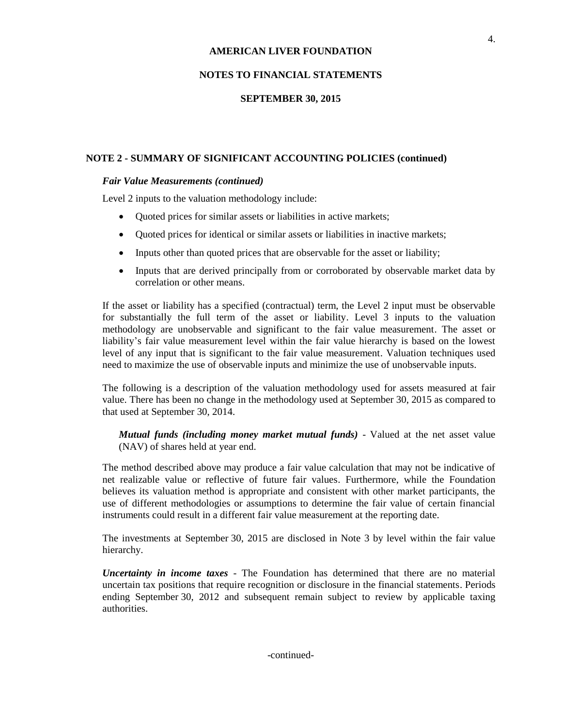## **NOTES TO FINANCIAL STATEMENTS**

### **SEPTEMBER 30, 2015**

## **NOTE 2 - SUMMARY OF SIGNIFICANT ACCOUNTING POLICIES (continued)**

#### *Fair Value Measurements (continued)*

Level 2 inputs to the valuation methodology include:

- Quoted prices for similar assets or liabilities in active markets;
- Quoted prices for identical or similar assets or liabilities in inactive markets;
- Inputs other than quoted prices that are observable for the asset or liability;
- Inputs that are derived principally from or corroborated by observable market data by correlation or other means.

If the asset or liability has a specified (contractual) term, the Level 2 input must be observable for substantially the full term of the asset or liability. Level 3 inputs to the valuation methodology are unobservable and significant to the fair value measurement. The asset or liability's fair value measurement level within the fair value hierarchy is based on the lowest level of any input that is significant to the fair value measurement. Valuation techniques used need to maximize the use of observable inputs and minimize the use of unobservable inputs.

The following is a description of the valuation methodology used for assets measured at fair value. There has been no change in the methodology used at September 30, 2015 as compared to that used at September 30, 2014.

*Mutual funds (including money market mutual funds)* - Valued at the net asset value (NAV) of shares held at year end.

The method described above may produce a fair value calculation that may not be indicative of net realizable value or reflective of future fair values. Furthermore, while the Foundation believes its valuation method is appropriate and consistent with other market participants, the use of different methodologies or assumptions to determine the fair value of certain financial instruments could result in a different fair value measurement at the reporting date.

The investments at September 30, 2015 are disclosed in Note 3 by level within the fair value hierarchy.

*Uncertainty in income taxes* - The Foundation has determined that there are no material uncertain tax positions that require recognition or disclosure in the financial statements. Periods ending September 30, 2012 and subsequent remain subject to review by applicable taxing authorities.

-continued-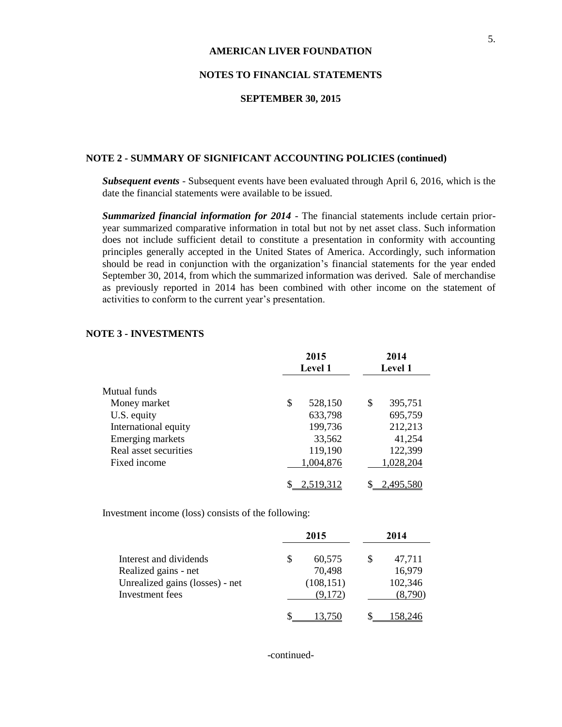## **NOTES TO FINANCIAL STATEMENTS**

#### **SEPTEMBER 30, 2015**

## **NOTE 2 - SUMMARY OF SIGNIFICANT ACCOUNTING POLICIES (continued)**

*Subsequent events* - Subsequent events have been evaluated through April 6, 2016, which is the date the financial statements were available to be issued.

*Summarized financial information for 2014* - The financial statements include certain prioryear summarized comparative information in total but not by net asset class. Such information does not include sufficient detail to constitute a presentation in conformity with accounting principles generally accepted in the United States of America. Accordingly, such information should be read in conjunction with the organization's financial statements for the year ended September 30, 2014, from which the summarized information was derived. Sale of merchandise as previously reported in 2014 has been combined with other income on the statement of activities to conform to the current year's presentation.

|                       | 2015<br>Level 1 |                  | 2014<br>Level 1 |           |  |
|-----------------------|-----------------|------------------|-----------------|-----------|--|
|                       |                 |                  |                 |           |  |
| Mutual funds          |                 |                  |                 |           |  |
| Money market          | \$              | 528,150          | S               | 395,751   |  |
| U.S. equity           |                 | 633,798          |                 | 695,759   |  |
| International equity  |                 | 199,736          |                 | 212,213   |  |
| Emerging markets      |                 | 33,562           |                 | 41,254    |  |
| Real asset securities |                 | 119,190          |                 | 122,399   |  |
| Fixed income          |                 | 1,004,876        |                 | 1,028,204 |  |
|                       |                 | <u>2,519,312</u> |                 | 2,495,580 |  |

#### **NOTE 3 - INVESTMENTS**

Investment income (loss) consists of the following:

|                                 |   | 2015       | 2014 |         |  |
|---------------------------------|---|------------|------|---------|--|
| Interest and dividends          | S | 60,575     |      | 47,711  |  |
| Realized gains - net            |   | 70,498     |      | 16,979  |  |
| Unrealized gains (losses) - net |   | (108, 151) |      | 102,346 |  |
| Investment fees                 |   | (9,172)    |      | (8,790) |  |
|                                 |   |            |      |         |  |

-continued-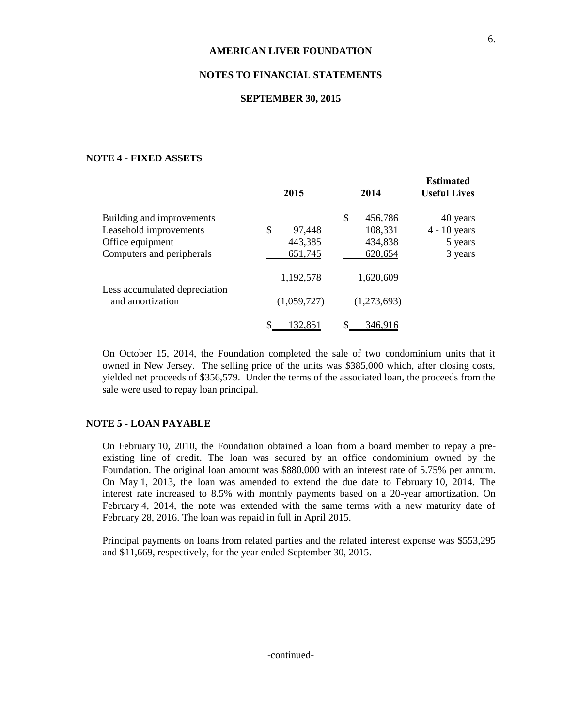## **NOTES TO FINANCIAL STATEMENTS**

#### **SEPTEMBER 30, 2015**

### **NOTE 4 - FIXED ASSETS**

|                                                   | 2015         | 2014          | <b>Estimated</b><br><b>Useful Lives</b> |
|---------------------------------------------------|--------------|---------------|-----------------------------------------|
| Building and improvements                         |              | \$<br>456,786 | 40 years                                |
| Leasehold improvements                            | \$<br>97,448 | 108,331       | $4 - 10$ years                          |
| Office equipment                                  | 443,385      | 434,838       | 5 years                                 |
| Computers and peripherals                         | 651,745      | 620,654       | 3 years                                 |
|                                                   | 1,192,578    | 1,620,609     |                                         |
| Less accumulated depreciation<br>and amortization | (1,059,727)  | (1,273,693)   |                                         |
|                                                   | 132,851      | \$<br>346,916 |                                         |

On October 15, 2014, the Foundation completed the sale of two condominium units that it owned in New Jersey. The selling price of the units was \$385,000 which, after closing costs, yielded net proceeds of \$356,579. Under the terms of the associated loan, the proceeds from the sale were used to repay loan principal.

## **NOTE 5 - LOAN PAYABLE**

On February 10, 2010, the Foundation obtained a loan from a board member to repay a preexisting line of credit. The loan was secured by an office condominium owned by the Foundation. The original loan amount was \$880,000 with an interest rate of 5.75% per annum. On May 1, 2013, the loan was amended to extend the due date to February 10, 2014. The interest rate increased to 8.5% with monthly payments based on a 20-year amortization. On February 4, 2014, the note was extended with the same terms with a new maturity date of February 28, 2016. The loan was repaid in full in April 2015.

Principal payments on loans from related parties and the related interest expense was \$553,295 and \$11,669, respectively, for the year ended September 30, 2015.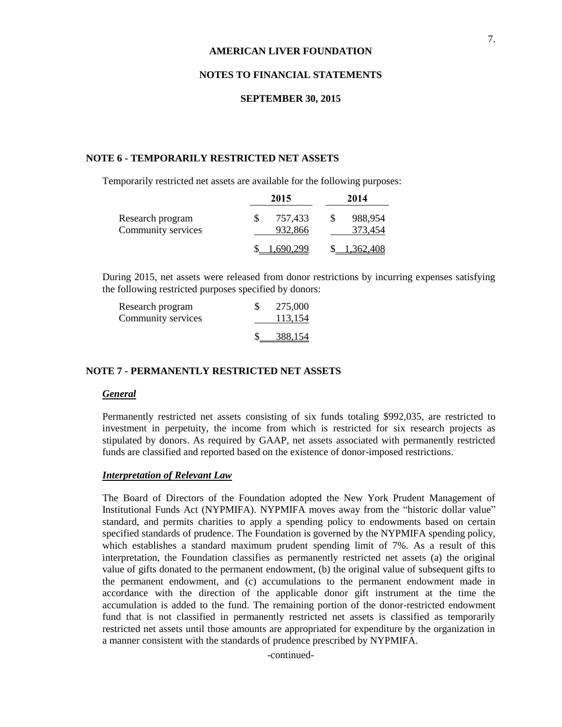#### **NOTES TO FINANCIAL STATEMENTS**

#### **SEPTEMBER 30, 2015**

## **NOTE 6 - TEMPORARILY RESTRICTED NET ASSETS**

Temporarily restricted net assets are available for the following purposes:

|                                        | 2015               | 2014               |
|----------------------------------------|--------------------|--------------------|
| Research program<br>Community services | 757,433<br>932,866 | 988,954<br>373,454 |
|                                        | 690.299            | \$ 1.362,408       |

During 2015, net assets were released from donor restrictions by incurring expenses satisfying the following restricted purposes specified by donors:

| Research program<br>Community services | 275,000<br>113,154 |
|----------------------------------------|--------------------|
|                                        | 388,154            |

#### **NOTE 7 - PERMANENTLY RESTRICTED NET ASSETS**

#### *General*

Permanently restricted net assets consisting of six funds totaling \$992,035, are restricted to investment in perpetuity, the income from which is restricted for six research projects as stipulated by donors. As required by GAAP, net assets associated with permanently restricted funds are classified and reported based on the existence of donor-imposed restrictions.

#### *Interpretation of Relevant Law*

The Board of Directors of the Foundation adopted the New York Prudent Management of Institutional Funds Act (NYPMIFA). NYPMIFA moves away from the "historic dollar value" standard, and permits charities to apply a spending policy to endowments based on certain specified standards of prudence. The Foundation is governed by the NYPMIFA spending policy, which establishes a standard maximum prudent spending limit of 7%. As a result of this interpretation, the Foundation classifies as permanently restricted net assets (a) the original value of gifts donated to the permanent endowment, (b) the original value of subsequent gifts to the permanent endowment, and (c) accumulations to the permanent endowment made in accordance with the direction of the applicable donor gift instrument at the time the accumulation is added to the fund. The remaining portion of the donor-restricted endowment fund that is not classified in permanently restricted net assets is classified as temporarily restricted net assets until those amounts are appropriated for expenditure by the organization in a manner consistent with the standards of prudence prescribed by NYPMIFA.

-continued-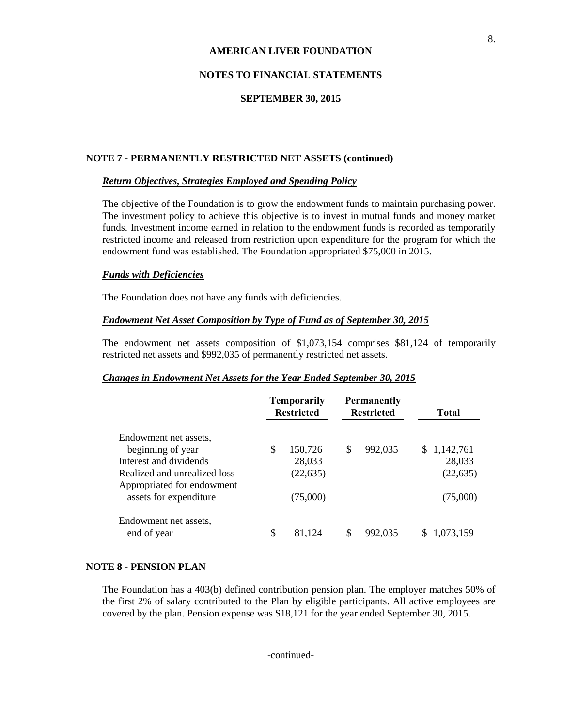## **NOTES TO FINANCIAL STATEMENTS**

#### **SEPTEMBER 30, 2015**

#### **NOTE 7 - PERMANENTLY RESTRICTED NET ASSETS (continued)**

#### *Return Objectives, Strategies Employed and Spending Policy*

The objective of the Foundation is to grow the endowment funds to maintain purchasing power. The investment policy to achieve this objective is to invest in mutual funds and money market funds. Investment income earned in relation to the endowment funds is recorded as temporarily restricted income and released from restriction upon expenditure for the program for which the endowment fund was established. The Foundation appropriated \$75,000 in 2015.

#### *Funds with Deficiencies*

The Foundation does not have any funds with deficiencies.

#### *Endowment Net Asset Composition by Type of Fund as of September 30, 2015*

The endowment net assets composition of \$1,073,154 comprises \$81,124 of temporarily restricted net assets and \$992,035 of permanently restricted net assets.

#### *Changes in Endowment Net Assets for the Year Ended September 30, 2015*

|                              | <b>Temporarily</b><br><b>Restricted</b> |   | <b>Permanently</b><br><b>Restricted</b> | <b>Total</b> |
|------------------------------|-----------------------------------------|---|-----------------------------------------|--------------|
| Endowment net assets.        |                                         |   |                                         |              |
| beginning of year            | \$<br>150,726                           | S | 992,035                                 | \$1,142,761  |
| Interest and dividends       | 28,033                                  |   |                                         | 28,033       |
| Realized and unrealized loss | (22, 635)                               |   |                                         | (22, 635)    |
| Appropriated for endowment   |                                         |   |                                         |              |
| assets for expenditure       | (75,000)                                |   |                                         | (75,000)     |
| Endowment net assets.        |                                         |   |                                         |              |
| end of year                  | \$<br>81.124                            |   | 992.035                                 | .073.159     |

#### **NOTE 8 - PENSION PLAN**

The Foundation has a 403(b) defined contribution pension plan. The employer matches 50% of the first 2% of salary contributed to the Plan by eligible participants. All active employees are covered by the plan. Pension expense was \$18,121 for the year ended September 30, 2015.